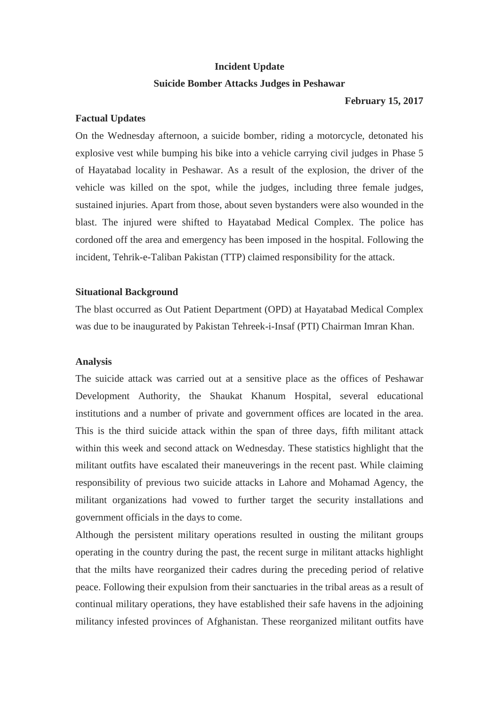# **Incident Update Suicide Bomber Attacks Judges in Peshawar**

#### **February 15, 2017**

## **Factual Updates**

On the Wednesday afternoon, a suicide bomber, riding a motorcycle, detonated his explosive vest while bumping his bike into a vehicle carrying civil judges in Phase 5 of Hayatabad locality in Peshawar. As a result of the explosion, the driver of the vehicle was killed on the spot, while the judges, including three female judges, sustained injuries. Apart from those, about seven bystanders were also wounded in the blast. The injured were shifted to Hayatabad Medical Complex. The police has cordoned off the area and emergency has been imposed in the hospital. Following the incident, Tehrik-e-Taliban Pakistan (TTP) claimed responsibility for the attack.

## **Situational Background**

The blast occurred as Out Patient Department (OPD) at Hayatabad Medical Complex was due to be inaugurated by Pakistan Tehreek-i-Insaf (PTI) Chairman Imran Khan.

## **Analysis**

The suicide attack was carried out at a sensitive place as the offices of Peshawar Development Authority, the Shaukat Khanum Hospital, several educational institutions and a number of private and government offices are located in the area. This is the third suicide attack within the span of three days, fifth militant attack within this week and second attack on Wednesday. These statistics highlight that the militant outfits have escalated their maneuverings in the recent past. While claiming responsibility of previous two suicide attacks in Lahore and Mohamad Agency, the militant organizations had vowed to further target the security installations and government officials in the days to come.

Although the persistent military operations resulted in ousting the militant groups operating in the country during the past, the recent surge in militant attacks highlight that the milts have reorganized their cadres during the preceding period of relative peace. Following their expulsion from their sanctuaries in the tribal areas as a result of continual military operations, they have established their safe havens in the adjoining militancy infested provinces of Afghanistan. These reorganized militant outfits have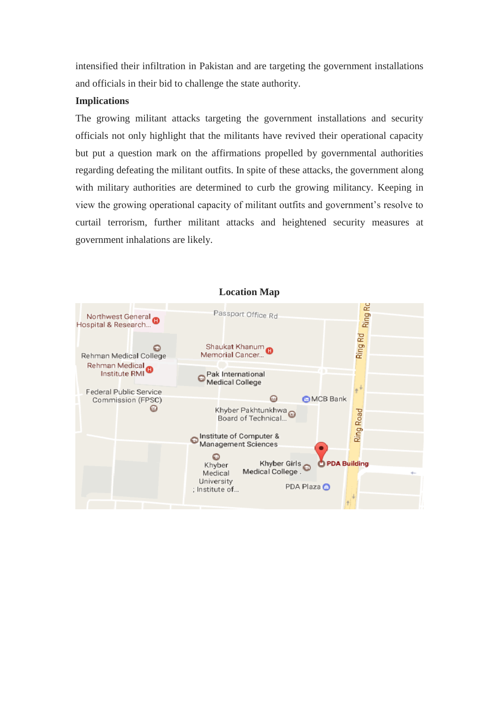intensified their infiltration in Pakistan and are targeting the government installations and officials in their bid to challenge the state authority.

#### **Implications**

The growing militant attacks targeting the government installations and security officials not only highlight that the militants have revived their operational capacity but put a question mark on the affirmations propelled by governmental authorities regarding defeating the militant outfits. In spite of these attacks, the government along with military authorities are determined to curb the growing militancy. Keeping in view the growing operational capacity of militant outfits and government's resolve to curtail terrorism, further militant attacks and heightened security measures at government inhalations are likely.



## **Location Map**